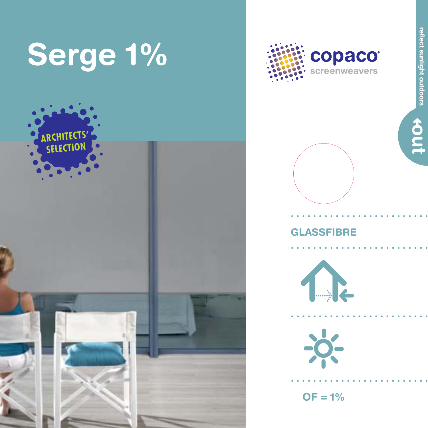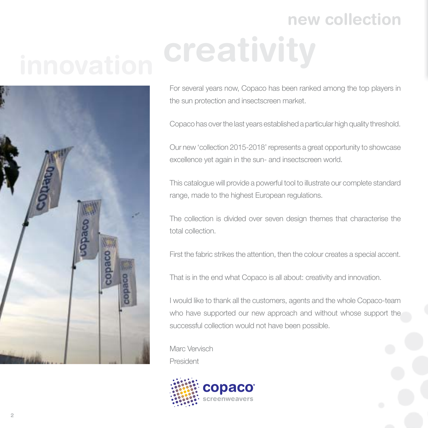### **new collection**

# **creativity**



For several years now, Copaco has been ranked among the top players in the sun protection and insectscreen market.

Copaco has over the last years established a particular high quality threshold.

Our new 'collection 2015-2018' represents a great opportunity to showcase excellence yet again in the sun- and insectscreen world.

This catalogue will provide a powerful tool to illustrate our complete standard range, made to the highest European regulations.

The collection is divided over seven design themes that characterise the total collection.

First the fabric strikes the attention, then the colour creates a special accent.

That is in the end what Copaco is all about: creativity and innovation.

I would like to thank all the customers, agents and the whole Copaco-team who have supported our new approach and without whose support the successful collection would not have been possible.

Marc Vervisch **President** 

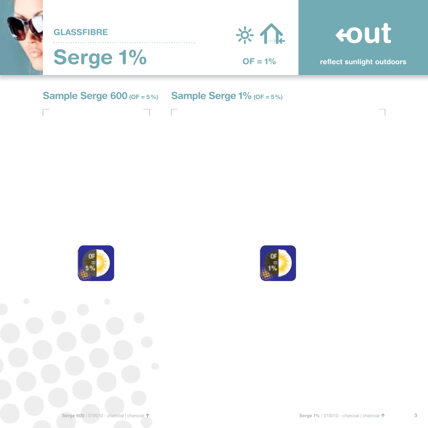

 $\Box$ 

**GLASSFIBRE**

## **Serge 1%**

\* 1

**OF = 1% reflect sunlight outdoors** 

tout

### **Sample Serge 600 (OF = 5 %) Sample Serge 1% (OF = 5 %)**

 $\Box$ 





**3**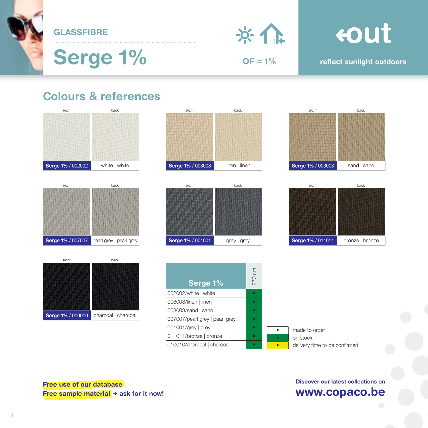

#### **GLASSFIBRE**

## **Serge 1%**



tout

**OF = 1% reflect sunlight outdoors** 

### **Colours & references**















| Serge 1%                       | 270 cm |  |
|--------------------------------|--------|--|
| 002002/white   white           |        |  |
| 008008/linen   linen           |        |  |
| 003003/sand   sand             |        |  |
| 007007/pearl grey   pearl grey |        |  |
| 001001/grey   grey             | ٠      |  |
| 011011/bronze   bronze         |        |  |
| 010010/charcoal   charcoal     |        |  |

• made to order on stock delivery time to be confirmed

**Discover our latest collections on www.copaco.be**

**Free use of our database Free sample material**  $\rightarrow$  ask for it now!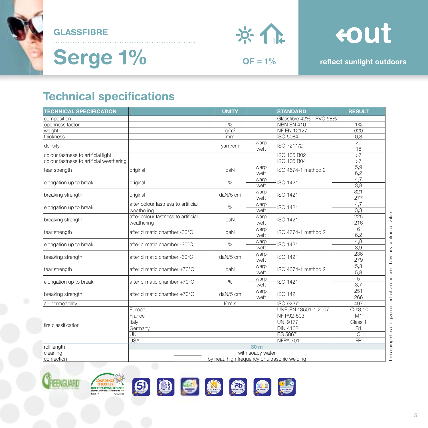

#### **GLASSFIBRE**

## **Serge 1%**



**OF = 1% reflect sunlight outdoors** 

### **Technical specifications**

| <b>TECHNICAL SPECIFICATION</b>           |                                                   | <b>UNITY</b>     |                          | <b>STANDARD</b>     | <b>RESULT</b>  |  |  |  |  |
|------------------------------------------|---------------------------------------------------|------------------|--------------------------|---------------------|----------------|--|--|--|--|
| composition                              |                                                   |                  | Glassfibre 42% - PVC 58% |                     |                |  |  |  |  |
| openness factor                          |                                                   | %                |                          | NBN EN 410          | 1%             |  |  |  |  |
| weight                                   |                                                   | q/m <sup>2</sup> |                          | <b>NF EN 12127</b>  | 620            |  |  |  |  |
| thickness                                |                                                   | mm               |                          | <b>ISO 5084</b>     | 0.8            |  |  |  |  |
|                                          |                                                   |                  | warp                     | ISO 7211/2          | 20             |  |  |  |  |
| density                                  |                                                   | varn/cm          | weft                     |                     | 18             |  |  |  |  |
| colour fastness to artificial light      |                                                   |                  |                          | ISO 105 B02         | >7             |  |  |  |  |
| colour fastness to artificial weathering |                                                   |                  |                          | ISO 105 B04         | $\overline{z}$ |  |  |  |  |
|                                          |                                                   |                  | warp                     | ISO 4674-1 method 2 | 5,9            |  |  |  |  |
| tear strength                            | original                                          | daN              | weft                     |                     | 6,2            |  |  |  |  |
|                                          | original                                          |                  | warp                     |                     | 4,7            |  |  |  |  |
| elongation up to break                   |                                                   | $\%$             | weft                     | <b>ISO 1421</b>     | 3,8            |  |  |  |  |
|                                          |                                                   |                  | warp                     |                     | 321            |  |  |  |  |
| breaking strength                        | original                                          | daN/5 cm         | weft                     | ISO 1421            | 277            |  |  |  |  |
|                                          | after colour fastness to artificial               |                  | warp                     |                     | 4.7            |  |  |  |  |
| elongation up to break                   | weathering                                        | $\%$             | weft                     | ISO 1421            | 3,3            |  |  |  |  |
|                                          | after colour fastness to artificial<br>weathering |                  | warp                     |                     | 225            |  |  |  |  |
| breaking strength                        |                                                   | daN              | weft                     | <b>ISO 1421</b>     | 216            |  |  |  |  |
|                                          |                                                   |                  | warp                     |                     | 6              |  |  |  |  |
| tear strength                            | after climatic chamber -30°C                      | daN              | weft                     | ISO 4674-1 method 2 | 6,2            |  |  |  |  |
| elongation up to break                   | after climatic chamber -30°C                      |                  | warp                     |                     | 4,8            |  |  |  |  |
|                                          |                                                   | %                | weft                     | <b>ISO 1421</b>     | 3,9            |  |  |  |  |
| breaking strength                        | after climatic chamber -30°C                      |                  | warp                     |                     | 236            |  |  |  |  |
|                                          |                                                   | daN/5 cm         | weft                     | <b>ISO 1421</b>     | 279            |  |  |  |  |
|                                          | after climatic chamber +70°C                      |                  |                          |                     | 5,3            |  |  |  |  |
| tear strength                            |                                                   | daN              | warp<br>weft             | ISO 4674-1 method 2 | 5,8            |  |  |  |  |
|                                          |                                                   |                  |                          |                     | 5              |  |  |  |  |
| elongation up to break                   | after climatic chamber +70°C                      | %                | warp<br>weft             | ISO 1421            | 3,7            |  |  |  |  |
|                                          |                                                   |                  |                          |                     | 251            |  |  |  |  |
| breaking strength                        | after climatic chamber +70°C                      | daN/5 cm         | warp                     | ISO 1421            |                |  |  |  |  |
|                                          |                                                   |                  | weft                     |                     | 266            |  |  |  |  |
| air permeability                         |                                                   | $l/m2$ .s        |                          | <b>ISO 9237</b>     | 497            |  |  |  |  |
|                                          | Europe                                            |                  | UNE-EN 13501-1:2007      | $C-S3.d0$           |                |  |  |  |  |
|                                          | France                                            |                  | NF P92-503               | M1                  |                |  |  |  |  |
| fire classification                      | Italy                                             |                  | <b>UNI 9177</b>          | Class 1             |                |  |  |  |  |
|                                          | Germany                                           |                  | <b>DIN 4102</b>          | <b>B1</b>           |                |  |  |  |  |
|                                          | UK                                                |                  | <b>BS 5867</b>           | $\mathsf{C}$        |                |  |  |  |  |
|                                          | <b>USA</b>                                        |                  | NFPA 701<br><b>FR</b>    |                     |                |  |  |  |  |
| roll length                              | 30 <sub>m</sub>                                   |                  |                          |                     |                |  |  |  |  |
| cleaning                                 | These properties are<br>with soapy water          |                  |                          |                     |                |  |  |  |  |
| confection                               | by heat, high frequency or ultrasonic welding     |                  |                          |                     |                |  |  |  |  |













**5**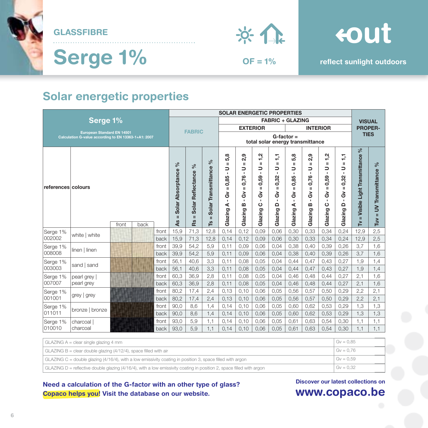

#### **GLASSFIBRE**

## **Serge 1%**



tout

**OF = 1% reflect sunlight outdoors** 

#### **Solar energetic properties**

|                                                                                                                                                                                       |                       |  |                                          |                                     | <b>SOLAR ENERGETIC PROPERTIES</b>         |                                                              |                                                                       |                                                |                                                                     |                                                            |                                                              |                                                              |                                                                            |                                                      |                                         |      |     |
|---------------------------------------------------------------------------------------------------------------------------------------------------------------------------------------|-----------------------|--|------------------------------------------|-------------------------------------|-------------------------------------------|--------------------------------------------------------------|-----------------------------------------------------------------------|------------------------------------------------|---------------------------------------------------------------------|------------------------------------------------------------|--------------------------------------------------------------|--------------------------------------------------------------|----------------------------------------------------------------------------|------------------------------------------------------|-----------------------------------------|------|-----|
| Serge 1%<br><b>European Standard EN 14501</b><br>Calculation G-value according to EN 13363-1+A1: 2007                                                                                 |                       |  |                                          |                                     |                                           | <b>FABRIC + GLAZING</b>                                      |                                                                       |                                                |                                                                     |                                                            |                                                              |                                                              |                                                                            |                                                      | <b>VISUAL</b><br><b>PROPER-</b>         |      |     |
|                                                                                                                                                                                       |                       |  | <b>FABRIC</b>                            |                                     |                                           | <b>EXTERIOR</b>                                              |                                                                       |                                                |                                                                     |                                                            |                                                              | <b>INTERIOR</b>                                              |                                                                            |                                                      |                                         |      |     |
|                                                                                                                                                                                       |                       |  |                                          |                                     |                                           | $G$ -factor =<br>total solar energy transmittance            |                                                                       |                                                |                                                                     |                                                            |                                                              |                                                              |                                                                            | <b>TIES</b>                                          |                                         |      |     |
|                                                                                                                                                                                       |                       |  |                                          |                                     | వ్                                        | వ్                                                           | $\%$                                                                  | 5,8<br>Ш<br>っ<br>$\blacksquare$                | 2,9<br>Ш<br>∍<br>$\mathbf{r}$                                       | 1,2<br>$\mathbf{II}$<br>⊃<br>$\mathbf{r}$                  | ÷<br>$\mathbf{H}$<br>⊃<br>$\mathbf{I}$                       | 5,8<br>ш<br>コ<br>$\mathbf{r}$                                | 2,9<br>Ш<br>っ<br>$\blacksquare$                                            | $\frac{1}{2}$<br>$\mathbf{H}$<br>っ<br>$\blacksquare$ | ÷<br>$\mathbf{H}$<br>∍<br>$\mathbf{r}$  | వ్   | వ్  |
| references colours<br>front<br>back                                                                                                                                                   |                       |  | Solar Absorptance<br>$\mathbf{II}$<br>4s | Solar Reflectance<br>Ш<br><b>Rs</b> | Solar Transmittance<br>$\mathbf{H}$<br>يم | 0,85<br>$\mathbf{H}$<br>යි<br>$\blacksquare$<br>⋖<br>Glazing | 0,76<br>$\mathbf{H}$<br>යි<br>$\mathbf{r}$<br>$\mathbf{a}$<br>Glazing | 0,59<br>Ш<br>ఠ<br>$\mathbf{r}$<br>ပ<br>Glazing | 0,32<br>$\mathbf{H}$<br>යි<br>$\blacksquare$<br>$\Omega$<br>Glazing | 0,85<br>$\mathbf{H}$<br>යි<br>$\mathbf{I}$<br>⋖<br>Glazing | 0,76<br>$\mathbf{H}$<br>යි<br>$\blacksquare$<br>m<br>Glazing | 0,59<br>$\mathbf{u}$<br>යි<br>$\blacksquare$<br>ပ<br>Glazing | 0,32<br>$\mathbf{H}$<br>යි<br>$\mathbf{I}$<br>$\mathbf{\Omega}$<br>Glazing | = Visible Light Transmittance<br>È,                  | UV Transmittance<br>$\mathbf{H}$<br>Tuv |      |     |
| Serge 1%                                                                                                                                                                              |                       |  |                                          | front                               | 15,9                                      | 71,3                                                         | 12,8                                                                  | 0,14                                           | 0,12                                                                | 0,09                                                       | 0,06                                                         | 0,30                                                         | 0.33                                                                       | 0,34                                                 | 0,24                                    | 12,9 | 2,5 |
| 002002                                                                                                                                                                                | white   white         |  |                                          | back                                | 15,9                                      | 71,3                                                         | 12,8                                                                  | 0.14                                           | 0,12                                                                | 0,09                                                       | 0,06                                                         | 0.30                                                         | 0,33                                                                       | 0.34                                                 | 0.24                                    | 12,9 | 2,5 |
| Serge 1%<br>linen   linen<br>008008                                                                                                                                                   |                       |  |                                          | front                               | 39.9                                      | 54,2                                                         | 5.9                                                                   | 0.11                                           | 0.09                                                                | 0.06                                                       | 0.04                                                         | 0.38                                                         | 0.40                                                                       | 0.39                                                 | 0.26                                    | 3.7  | 1,6 |
|                                                                                                                                                                                       |                       |  | back                                     | 39,9                                | 54,2                                      | 5,9                                                          | 0,11                                                                  | 0.09                                           | 0,06                                                                | 0,04                                                       | 0,38                                                         | 0,40                                                         | 0,39                                                                       | 0,26                                                 | 3,7                                     | 1,6  |     |
| Serge 1%                                                                                                                                                                              | sand   sand           |  |                                          | front                               | 56.1                                      | 40,6                                                         | 3,3                                                                   | 0.11                                           | 0,08                                                                | 0,05                                                       | 0,04                                                         | 0.44                                                         | 0.47                                                                       | 0,43                                                 | 0,27                                    | 1,9  | 1,4 |
|                                                                                                                                                                                       | 003003                |  |                                          | back                                | 56.1                                      | 40.6                                                         | 3,3                                                                   | 0.11                                           | 0.08                                                                | 0,05                                                       | 0.04                                                         | 0.44                                                         | 0.47                                                                       | 0.43                                                 | 0,27                                    | 1,9  | 1,4 |
| Serge 1%                                                                                                                                                                              | pearl grey            |  |                                          | front                               | 60,3                                      | 36,9                                                         | 2,8                                                                   | 0,11                                           | 0,08                                                                | 0,05                                                       | 0,04                                                         | 0,46                                                         | 0,48                                                                       | 0,44                                                 | 0,27                                    | 2.1  | 1,6 |
| 007007                                                                                                                                                                                | pearl grey            |  |                                          | back                                | 60,3                                      | 36,9                                                         | 2,8                                                                   | 0,11                                           | 0,08                                                                | 0,05                                                       | 0,04                                                         | 0,46                                                         | 0,48                                                                       | 0,44                                                 | 0,27                                    | 2.1  | 1,6 |
| Serge 1%                                                                                                                                                                              | grey   grey<br>001001 |  |                                          | front                               | 80,2                                      | 17,4                                                         | 2,4                                                                   | 0,13                                           | 0,10                                                                | 0,06                                                       | 0,05                                                         | 0,56                                                         | 0,57                                                                       | 0,50                                                 | 0,29                                    | 2,2  | 2,1 |
|                                                                                                                                                                                       |                       |  | back                                     | 80,2                                | 17,4                                      | 2,4                                                          | 0,13                                                                  | 0,10                                           | 0,06                                                                | 0,05                                                       | 0,56                                                         | 0,57                                                         | 0,50                                                                       | 0,29                                                 | 2.2                                     | 2,1  |     |
| Serge 1%                                                                                                                                                                              | bronze   bronze       |  |                                          | front                               | 90.0                                      | 8.6                                                          | 1.4                                                                   | 0.14                                           | 0.10                                                                | 0.06                                                       | 0.05                                                         | 0.60                                                         | 0.62                                                                       | 0.53                                                 | 0.29                                    | 1.3  | 1.3 |
| 011011                                                                                                                                                                                |                       |  |                                          | back                                | 90,0                                      | 8,6                                                          | 1,4                                                                   | 0,14                                           | 0,10                                                                | 0,06                                                       | 0,05                                                         | 0,60                                                         | 0,62                                                                       | 0,53                                                 | 0,29                                    | 1,3  | 1,3 |
| Serge 1%                                                                                                                                                                              | charcoal              |  |                                          | front                               | 93,0                                      | 5,9                                                          | 1,1                                                                   | 0,14                                           | 0,10                                                                | 0,06                                                       | 0,05                                                         | 0,61                                                         | 0.63                                                                       | 0,54                                                 | 0,30                                    | 1,1  | 1,1 |
| 010010                                                                                                                                                                                | charcoal              |  |                                          | back                                | 93.0                                      | 5.9                                                          | 1.1                                                                   | 0.14                                           | 0.10                                                                | 0.06                                                       | 0.05                                                         | 0.61                                                         | 0.63                                                                       | 0.54                                                 | 0.30                                    | 1.1  | 1,1 |
| GLAZING A = clear single glazing 4 mm                                                                                                                                                 |                       |  |                                          |                                     |                                           |                                                              |                                                                       |                                                |                                                                     | $Gv = 0.85$                                                |                                                              |                                                              |                                                                            |                                                      |                                         |      |     |
| $GLAZING B = clear$ double glazing (4/12/4), space filled with air                                                                                                                    |                       |  |                                          |                                     |                                           |                                                              |                                                                       |                                                |                                                                     | $Gv = 0.76$                                                |                                                              |                                                              |                                                                            |                                                      |                                         |      |     |
| GLAZING $C =$ double glazing (4/16/4), with a low emissivity coating in position 3, space filled with argon                                                                           |                       |  |                                          |                                     |                                           |                                                              |                                                                       |                                                | $Gv = 0.59$                                                         |                                                            |                                                              |                                                              |                                                                            |                                                      |                                         |      |     |
| GLAZING $D =$ reflective double glazing (4/16/4), with a low emissivity coating in position 2, space filled with argon                                                                |                       |  |                                          |                                     |                                           |                                                              |                                                                       | $Gv = 0.32$                                    |                                                                     |                                                            |                                                              |                                                              |                                                                            |                                                      |                                         |      |     |
| <b>Discover our latest collections on</b><br>Need a calculation of the G-factor with an other type of glass?<br>www.copaco.be<br>Copaco helps you! Visit the database on our website. |                       |  |                                          |                                     |                                           |                                                              |                                                                       |                                                |                                                                     |                                                            |                                                              |                                                              |                                                                            |                                                      |                                         |      |     |

| GLAZING A = clear single glazing 4 mm                                                                                | $Gv = 0.85$ |
|----------------------------------------------------------------------------------------------------------------------|-------------|
| $GLAZING B = clear double glazing (4/12/4)$ , space filled with air                                                  | $Gv = 0.76$ |
| GLAZING C = double glazing (4/16/4), with a low emissivity coating in position 3, space filled with argon            | $Gv = 0.59$ |
| GLAZING D = reflective double glazing (4/16/4), with a low emissivity coating in position 2, space filled with argon | $Gv = 0.32$ |

#### **Need a calculation of the G-factor with an other type of glass? Copaco helps you! Visit the database on our website.**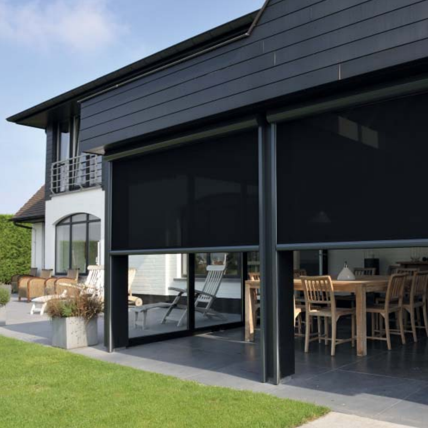